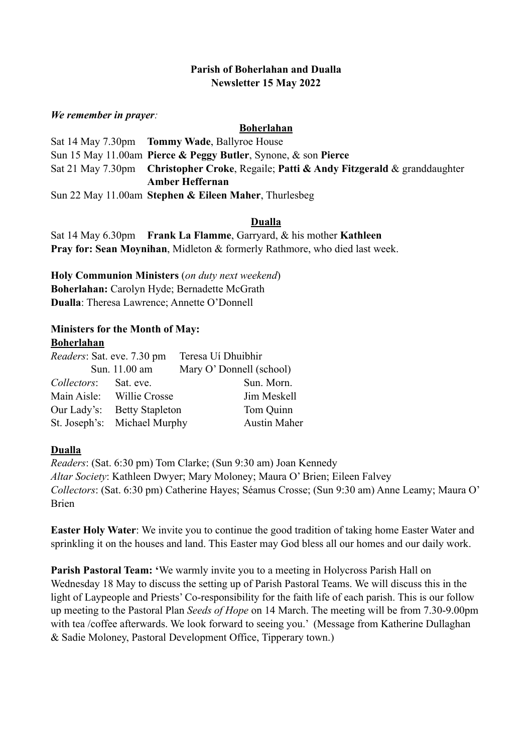### **Parish of Boherlahan and Dualla Newsletter 15 May 2022**

#### *We remember in prayer:*

#### **Boherlahan**

Sat 14 May 7.30pm **Tommy Wade**, Ballyroe House Sun 15 May 11.00am **Pierce & Peggy Butler**, Synone, & son **Pierce** Sat 21 May 7.30pm **Christopher Croke**, Regaile; **Patti & Andy Fitzgerald** & granddaughter **Amber Heffernan** Sun 22 May 11.00am **Stephen & Eileen Maher**, Thurlesbeg

## **Dualla**

Sat 14 May 6.30pm **Frank La Flamme**, Garryard, & his mother **Kathleen Pray for: Sean Moynihan**, Midleton & formerly Rathmore, who died last week.

**Holy Communion Ministers** (*on duty next weekend*) **Boherlahan:** Carolyn Hyde; Bernadette McGrath **Dualla**: Theresa Lawrence; Annette O'Donnell

# **Ministers for the Month of May:**

#### **Boherlahan**

| <i>Readers:</i> Sat. eve. 7.30 pm |                              | Teresa Uí Dhuibhir       |
|-----------------------------------|------------------------------|--------------------------|
|                                   | Sun. 11.00 am                | Mary O' Donnell (school) |
| Collectors: Sat. eve.             |                              | Sun. Morn.               |
|                                   | Main Aisle: Willie Crosse    | Jim Meskell              |
| Our Lady's:                       | <b>Betty Stapleton</b>       | Tom Quinn                |
|                                   | St. Joseph's: Michael Murphy | <b>Austin Maher</b>      |

#### **Dualla**

*Readers*: (Sat. 6:30 pm) Tom Clarke; (Sun 9:30 am) Joan Kennedy *Altar Society*: Kathleen Dwyer; Mary Moloney; Maura O' Brien; Eileen Falvey *Collectors*: (Sat. 6:30 pm) Catherine Hayes; Séamus Crosse; (Sun 9:30 am) Anne Leamy; Maura O' Brien

**Easter Holy Water**: We invite you to continue the good tradition of taking home Easter Water and sprinkling it on the houses and land. This Easter may God bless all our homes and our daily work.

**Parish Pastoral Team: '**We warmly invite you to a meeting in Holycross Parish Hall on Wednesday 18 May to discuss the setting up of Parish Pastoral Teams. We will discuss this in the light of Laypeople and Priests' Co-responsibility for the faith life of each parish. This is our follow up meeting to the Pastoral Plan *Seeds of Hope* on 14 March. The meeting will be from 7.30-9.00pm with tea /coffee afterwards. We look forward to seeing you.' (Message from Katherine Dullaghan & Sadie Moloney, Pastoral Development Office, Tipperary town.)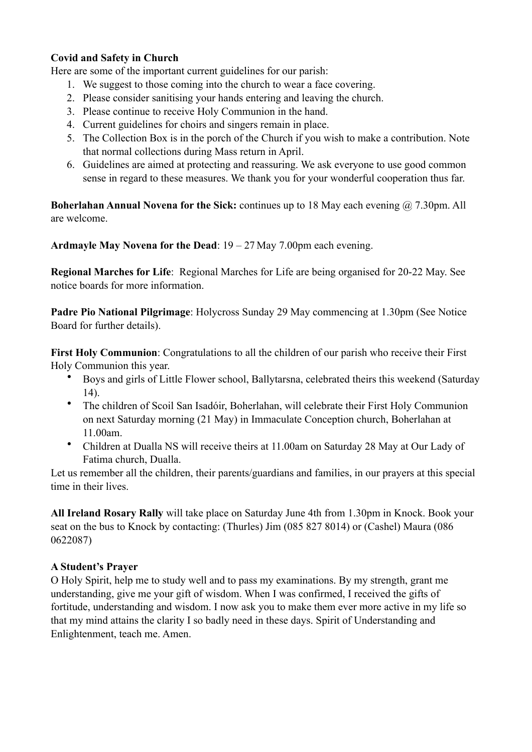## **Covid and Safety in Church**

Here are some of the important current guidelines for our parish:

- 1. We suggest to those coming into the church to wear a face covering.
- 2. Please consider sanitising your hands entering and leaving the church.
- 3. Please continue to receive Holy Communion in the hand.
- 4. Current guidelines for choirs and singers remain in place.
- 5. The Collection Box is in the porch of the Church if you wish to make a contribution. Note that normal collections during Mass return in April.
- 6. Guidelines are aimed at protecting and reassuring. We ask everyone to use good common sense in regard to these measures. We thank you for your wonderful cooperation thus far.

**Boherlahan Annual Novena for the Sick:** continues up to 18 May each evening @ 7.30pm. All are welcome.

**Ardmayle May Novena for the Dead**: 19 – 27 May 7.00pm each evening.

**Regional Marches for Life**: Regional Marches for Life are being organised for 20-22 May. See notice boards for more information.

**Padre Pio National Pilgrimage**: Holycross Sunday 29 May commencing at 1.30pm (See Notice Board for further details).

**First Holy Communion**: Congratulations to all the children of our parish who receive their First Holy Communion this year.

- Boys and girls of Little Flower school, Ballytarsna, celebrated theirs this weekend (Saturday 14).
- The children of Scoil San Isadóir, Boherlahan, will celebrate their First Holy Communion on next Saturday morning (21 May) in Immaculate Conception church, Boherlahan at 11.00am.
- Children at Dualla NS will receive theirs at 11.00am on Saturday 28 May at Our Lady of Fatima church, Dualla.

Let us remember all the children, their parents/guardians and families, in our prayers at this special time in their lives.

**All Ireland Rosary Rally** will take place on Saturday June 4th from 1.30pm in Knock. Book your seat on the bus to Knock by contacting: (Thurles) Jim (085 827 8014) or (Cashel) Maura (086 0622087)

#### **A Student's Prayer**

O Holy Spirit, help me to study well and to pass my examinations. By my strength, grant me understanding, give me your gift of wisdom. When I was confirmed, I received the gifts of fortitude, understanding and wisdom. I now ask you to make them ever more active in my life so that my mind attains the clarity I so badly need in these days. Spirit of Understanding and Enlightenment, teach me. Amen.